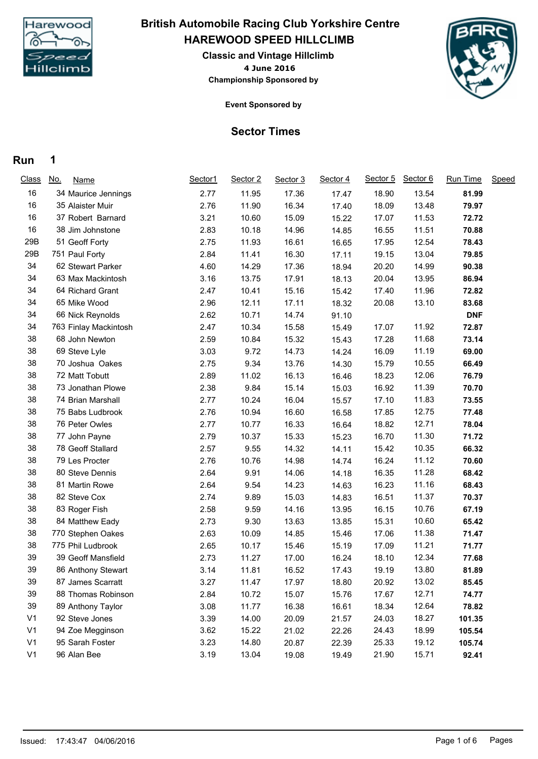

## **HAREWOOD SPEED HILLCLIMB British Automobile Racing Club Yorkshire Centre**

**4 June 2016 Classic and Vintage Hillclimb Championship Sponsored by**



**Event Sponsored by**

## **Sector Times**

## **Run 1**

| <b>Class</b>   | <u>No.</u><br><b>Name</b> | Sector1 | Sector 2 | Sector 3 | Sector 4 | Sector 5 | Sector 6 | Run Time   | Speed |
|----------------|---------------------------|---------|----------|----------|----------|----------|----------|------------|-------|
| 16             | 34 Maurice Jennings       | 2.77    | 11.95    | 17.36    | 17.47    | 18.90    | 13.54    | 81.99      |       |
| 16             | 35 Alaister Muir          | 2.76    | 11.90    | 16.34    | 17.40    | 18.09    | 13.48    | 79.97      |       |
| 16             | 37 Robert Barnard         | 3.21    | 10.60    | 15.09    | 15.22    | 17.07    | 11.53    | 72.72      |       |
| 16             | 38 Jim Johnstone          | 2.83    | 10.18    | 14.96    | 14.85    | 16.55    | 11.51    | 70.88      |       |
| 29B            | 51 Geoff Forty            | 2.75    | 11.93    | 16.61    | 16.65    | 17.95    | 12.54    | 78.43      |       |
| 29B            | 751 Paul Forty            | 2.84    | 11.41    | 16.30    | 17.11    | 19.15    | 13.04    | 79.85      |       |
| 34             | 62 Stewart Parker         | 4.60    | 14.29    | 17.36    | 18.94    | 20.20    | 14.99    | 90.38      |       |
| 34             | 63 Max Mackintosh         | 3.16    | 13.75    | 17.91    | 18.13    | 20.04    | 13.95    | 86.94      |       |
| 34             | 64 Richard Grant          | 2.47    | 10.41    | 15.16    | 15.42    | 17.40    | 11.96    | 72.82      |       |
| 34             | 65 Mike Wood              | 2.96    | 12.11    | 17.11    | 18.32    | 20.08    | 13.10    | 83.68      |       |
| 34             | 66 Nick Reynolds          | 2.62    | 10.71    | 14.74    | 91.10    |          |          | <b>DNF</b> |       |
| 34             | 763 Finlay Mackintosh     | 2.47    | 10.34    | 15.58    | 15.49    | 17.07    | 11.92    | 72.87      |       |
| 38             | 68 John Newton            | 2.59    | 10.84    | 15.32    | 15.43    | 17.28    | 11.68    | 73.14      |       |
| 38             | 69 Steve Lyle             | 3.03    | 9.72     | 14.73    | 14.24    | 16.09    | 11.19    | 69.00      |       |
| 38             | 70 Joshua Oakes           | 2.75    | 9.34     | 13.76    | 14.30    | 15.79    | 10.55    | 66.49      |       |
| 38             | 72 Matt Tobutt            | 2.89    | 11.02    | 16.13    | 16.46    | 18.23    | 12.06    | 76.79      |       |
| 38             | 73 Jonathan Plowe         | 2.38    | 9.84     | 15.14    | 15.03    | 16.92    | 11.39    | 70.70      |       |
| 38             | 74 Brian Marshall         | 2.77    | 10.24    | 16.04    | 15.57    | 17.10    | 11.83    | 73.55      |       |
| 38             | 75 Babs Ludbrook          | 2.76    | 10.94    | 16.60    | 16.58    | 17.85    | 12.75    | 77.48      |       |
| 38             | 76 Peter Owles            | 2.77    | 10.77    | 16.33    | 16.64    | 18.82    | 12.71    | 78.04      |       |
| 38             | 77 John Payne             | 2.79    | 10.37    | 15.33    | 15.23    | 16.70    | 11.30    | 71.72      |       |
| 38             | 78 Geoff Stallard         | 2.57    | 9.55     | 14.32    | 14.11    | 15.42    | 10.35    | 66.32      |       |
| 38             | 79 Les Procter            | 2.76    | 10.76    | 14.98    | 14.74    | 16.24    | 11.12    | 70.60      |       |
| 38             | 80 Steve Dennis           | 2.64    | 9.91     | 14.06    | 14.18    | 16.35    | 11.28    | 68.42      |       |
| 38             | 81 Martin Rowe            | 2.64    | 9.54     | 14.23    | 14.63    | 16.23    | 11.16    | 68.43      |       |
| 38             | 82 Steve Cox              | 2.74    | 9.89     | 15.03    | 14.83    | 16.51    | 11.37    | 70.37      |       |
| 38             | 83 Roger Fish             | 2.58    | 9.59     | 14.16    | 13.95    | 16.15    | 10.76    | 67.19      |       |
| 38             | 84 Matthew Eady           | 2.73    | 9.30     | 13.63    | 13.85    | 15.31    | 10.60    | 65.42      |       |
| 38             | 770 Stephen Oakes         | 2.63    | 10.09    | 14.85    | 15.46    | 17.06    | 11.38    | 71.47      |       |
| 38             | 775 Phil Ludbrook         | 2.65    | 10.17    | 15.46    | 15.19    | 17.09    | 11.21    | 71.77      |       |
| 39             | 39 Geoff Mansfield        | 2.73    | 11.27    | 17.00    | 16.24    | 18.10    | 12.34    | 77.68      |       |
| 39             | 86 Anthony Stewart        | 3.14    | 11.81    | 16.52    | 17.43    | 19.19    | 13.80    | 81.89      |       |
| 39             | 87 James Scarratt         | 3.27    | 11.47    | 17.97    | 18.80    | 20.92    | 13.02    | 85.45      |       |
| 39             | 88 Thomas Robinson        | 2.84    | 10.72    | 15.07    | 15.76    | 17.67    | 12.71    | 74.77      |       |
| 39             | 89 Anthony Taylor         | 3.08    | 11.77    | 16.38    | 16.61    | 18.34    | 12.64    | 78.82      |       |
| V <sub>1</sub> | 92 Steve Jones            | 3.39    | 14.00    | 20.09    | 21.57    | 24.03    | 18.27    | 101.35     |       |
| V <sub>1</sub> | 94 Zoe Megginson          | 3.62    | 15.22    | 21.02    | 22.26    | 24.43    | 18.99    | 105.54     |       |
| V <sub>1</sub> | 95 Sarah Foster           | 3.23    | 14.80    | 20.87    | 22.39    | 25.33    | 19.12    | 105.74     |       |
| V <sub>1</sub> | 96 Alan Bee               | 3.19    | 13.04    | 19.08    | 19.49    | 21.90    | 15.71    | 92.41      |       |
|                |                           |         |          |          |          |          |          |            |       |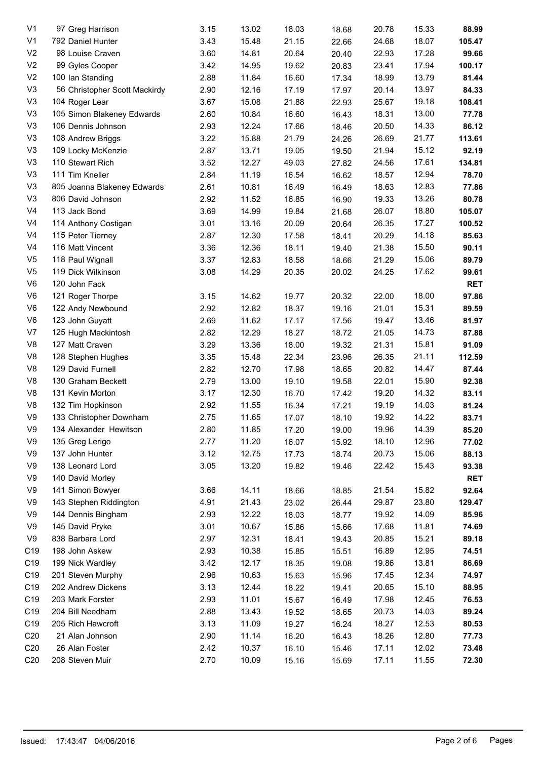| V <sub>1</sub>  | 97 Greg Harrison              | 3.15 | 13.02 | 18.03 | 18.68 | 20.78 | 15.33 | 88.99      |
|-----------------|-------------------------------|------|-------|-------|-------|-------|-------|------------|
| V <sub>1</sub>  | 792 Daniel Hunter             | 3.43 | 15.48 | 21.15 | 22.66 | 24.68 | 18.07 | 105.47     |
| V <sub>2</sub>  | 98 Louise Craven              | 3.60 | 14.81 | 20.64 | 20.40 | 22.93 | 17.28 | 99.66      |
| V <sub>2</sub>  | 99 Gyles Cooper               | 3.42 | 14.95 | 19.62 | 20.83 | 23.41 | 17.94 | 100.17     |
| V <sub>2</sub>  | 100 Ian Standing              | 2.88 | 11.84 | 16.60 | 17.34 | 18.99 | 13.79 | 81.44      |
| V <sub>3</sub>  | 56 Christopher Scott Mackirdy | 2.90 | 12.16 | 17.19 | 17.97 | 20.14 | 13.97 | 84.33      |
| V <sub>3</sub>  | 104 Roger Lear                | 3.67 | 15.08 | 21.88 | 22.93 | 25.67 | 19.18 | 108.41     |
| V <sub>3</sub>  | 105 Simon Blakeney Edwards    | 2.60 | 10.84 | 16.60 | 16.43 | 18.31 | 13.00 | 77.78      |
| V <sub>3</sub>  | 106 Dennis Johnson            | 2.93 | 12.24 | 17.66 | 18.46 | 20.50 | 14.33 | 86.12      |
| V <sub>3</sub>  | 108 Andrew Briggs             | 3.22 | 15.88 | 21.79 | 24.26 | 26.69 | 21.77 | 113.61     |
| V <sub>3</sub>  | 109 Locky McKenzie            | 2.87 | 13.71 | 19.05 | 19.50 | 21.94 | 15.12 | 92.19      |
| V <sub>3</sub>  | 110 Stewart Rich              | 3.52 | 12.27 | 49.03 | 27.82 | 24.56 | 17.61 | 134.81     |
| V <sub>3</sub>  | 111 Tim Kneller               | 2.84 | 11.19 | 16.54 | 16.62 | 18.57 | 12.94 | 78.70      |
| V <sub>3</sub>  | 805 Joanna Blakeney Edwards   | 2.61 | 10.81 | 16.49 | 16.49 | 18.63 | 12.83 | 77.86      |
| V <sub>3</sub>  | 806 David Johnson             | 2.92 | 11.52 | 16.85 | 16.90 | 19.33 | 13.26 | 80.78      |
| V <sub>4</sub>  | 113 Jack Bond                 | 3.69 | 14.99 | 19.84 | 21.68 | 26.07 | 18.80 | 105.07     |
| V <sub>4</sub>  | 114 Anthony Costigan          | 3.01 | 13.16 | 20.09 | 20.64 | 26.35 | 17.27 | 100.52     |
| V <sub>4</sub>  | 115 Peter Tierney             | 2.87 | 12.30 | 17.58 | 18.41 | 20.29 | 14.18 | 85.63      |
| V <sub>4</sub>  | 116 Matt Vincent              | 3.36 | 12.36 | 18.11 | 19.40 | 21.38 | 15.50 | 90.11      |
| V <sub>5</sub>  | 118 Paul Wignall              | 3.37 | 12.83 | 18.58 | 18.66 | 21.29 | 15.06 | 89.79      |
| V <sub>5</sub>  | 119 Dick Wilkinson            | 3.08 | 14.29 | 20.35 | 20.02 | 24.25 | 17.62 | 99.61      |
| V <sub>6</sub>  | 120 John Fack                 |      |       |       |       |       |       | <b>RET</b> |
| V <sub>6</sub>  | 121 Roger Thorpe              | 3.15 | 14.62 | 19.77 | 20.32 | 22.00 | 18.00 | 97.86      |
| V <sub>6</sub>  | 122 Andy Newbound             | 2.92 | 12.82 | 18.37 | 19.16 | 21.01 | 15.31 | 89.59      |
| V <sub>6</sub>  | 123 John Guyatt               | 2.69 | 11.62 | 17.17 |       | 19.47 | 13.46 | 81.97      |
| V7              |                               | 2.82 | 12.29 |       | 17.56 |       | 14.73 |            |
|                 | 125 Hugh Mackintosh           |      |       | 18.27 | 18.72 | 21.05 |       | 87.88      |
| V <sub>8</sub>  | 127 Matt Craven               | 3.29 | 13.36 | 18.00 | 19.32 | 21.31 | 15.81 | 91.09      |
| V <sub>8</sub>  | 128 Stephen Hughes            | 3.35 | 15.48 | 22.34 | 23.96 | 26.35 | 21.11 | 112.59     |
| V8              | 129 David Furnell             | 2.82 | 12.70 | 17.98 | 18.65 | 20.82 | 14.47 | 87.44      |
| V <sub>8</sub>  | 130 Graham Beckett            | 2.79 | 13.00 | 19.10 | 19.58 | 22.01 | 15.90 | 92.38      |
| V8              | 131 Kevin Morton              | 3.17 | 12.30 | 16.70 | 17.42 | 19.20 | 14.32 | 83.11      |
| V <sub>8</sub>  | 132 Tim Hopkinson             | 2.92 | 11.55 | 16.34 | 17.21 | 19.19 | 14.03 | 81.24      |
| V9              | 133 Christopher Downham       | 2.75 | 11.65 | 17.07 | 18.10 | 19.92 | 14.22 | 83.71      |
| V9              | 134 Alexander Hewitson        | 2.80 | 11.85 | 17.20 | 19.00 | 19.96 | 14.39 | 85.20      |
| V9              | 135 Greg Lerigo               | 2.77 | 11.20 | 16.07 | 15.92 | 18.10 | 12.96 | 77.02      |
| V9              | 137 John Hunter               | 3.12 | 12.75 | 17.73 | 18.74 | 20.73 | 15.06 | 88.13      |
| V9              | 138 Leonard Lord              | 3.05 | 13.20 | 19.82 | 19.46 | 22.42 | 15.43 | 93.38      |
| V9              | 140 David Morley              |      |       |       |       |       |       | <b>RET</b> |
| V9              | 141 Simon Bowyer              | 3.66 | 14.11 | 18.66 | 18.85 | 21.54 | 15.82 | 92.64      |
| V9              | 143 Stephen Riddington        | 4.91 | 21.43 | 23.02 | 26.44 | 29.87 | 23.80 | 129.47     |
| V9              | 144 Dennis Bingham            | 2.93 | 12.22 | 18.03 | 18.77 | 19.92 | 14.09 | 85.96      |
| V9              | 145 David Pryke               | 3.01 | 10.67 | 15.86 | 15.66 | 17.68 | 11.81 | 74.69      |
| V9              | 838 Barbara Lord              | 2.97 | 12.31 | 18.41 | 19.43 | 20.85 | 15.21 | 89.18      |
| C19             | 198 John Askew                | 2.93 | 10.38 | 15.85 | 15.51 | 16.89 | 12.95 | 74.51      |
| C19             | 199 Nick Wardley              | 3.42 | 12.17 | 18.35 | 19.08 | 19.86 | 13.81 | 86.69      |
| C19             | 201 Steven Murphy             | 2.96 | 10.63 | 15.63 | 15.96 | 17.45 | 12.34 | 74.97      |
| C19             | 202 Andrew Dickens            | 3.13 | 12.44 | 18.22 | 19.41 | 20.65 | 15.10 | 88.95      |
| C19             | 203 Mark Forster              | 2.93 | 11.01 | 15.67 | 16.49 | 17.98 | 12.45 | 76.53      |
| C19             | 204 Bill Needham              | 2.88 | 13.43 | 19.52 | 18.65 | 20.73 | 14.03 | 89.24      |
| C19             | 205 Rich Hawcroft             | 3.13 | 11.09 | 19.27 | 16.24 | 18.27 | 12.53 | 80.53      |
| C <sub>20</sub> | 21 Alan Johnson               | 2.90 | 11.14 | 16.20 | 16.43 | 18.26 | 12.80 | 77.73      |
| C <sub>20</sub> | 26 Alan Foster                | 2.42 | 10.37 | 16.10 | 15.46 | 17.11 | 12.02 | 73.48      |
| C <sub>20</sub> | 208 Steven Muir               | 2.70 | 10.09 | 15.16 | 15.69 | 17.11 | 11.55 | 72.30      |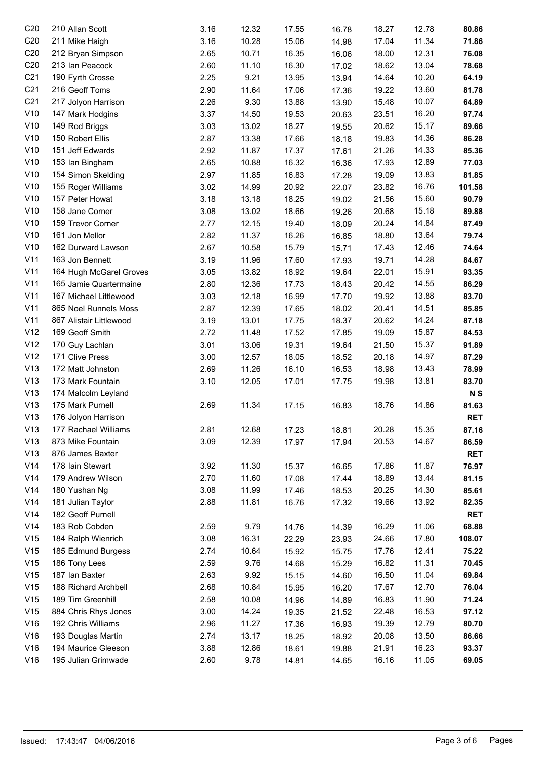| C <sub>20</sub> | 210 Allan Scott         | 3.16 | 12.32 | 17.55 | 16.78 | 18.27 | 12.78 | 80.86          |
|-----------------|-------------------------|------|-------|-------|-------|-------|-------|----------------|
| C <sub>20</sub> | 211 Mike Haigh          | 3.16 | 10.28 | 15.06 | 14.98 | 17.04 | 11.34 | 71.86          |
| C <sub>20</sub> | 212 Bryan Simpson       | 2.65 | 10.71 | 16.35 | 16.06 | 18.00 | 12.31 | 76.08          |
| C <sub>20</sub> | 213 Ian Peacock         | 2.60 | 11.10 | 16.30 | 17.02 | 18.62 | 13.04 | 78.68          |
| C <sub>21</sub> | 190 Fyrth Crosse        | 2.25 | 9.21  | 13.95 | 13.94 | 14.64 | 10.20 | 64.19          |
| C <sub>21</sub> | 216 Geoff Toms          | 2.90 | 11.64 | 17.06 | 17.36 | 19.22 | 13.60 | 81.78          |
| C <sub>21</sub> | 217 Jolyon Harrison     | 2.26 | 9.30  | 13.88 | 13.90 | 15.48 | 10.07 | 64.89          |
| V10             | 147 Mark Hodgins        | 3.37 | 14.50 | 19.53 | 20.63 | 23.51 | 16.20 | 97.74          |
| V10             | 149 Rod Briggs          | 3.03 | 13.02 | 18.27 | 19.55 | 20.62 | 15.17 | 89.66          |
| V10             | 150 Robert Ellis        | 2.87 | 13.38 | 17.66 | 18.18 | 19.83 | 14.36 | 86.28          |
| V10             | 151 Jeff Edwards        | 2.92 | 11.87 | 17.37 | 17.61 | 21.26 | 14.33 | 85.36          |
| V10             | 153 Ian Bingham         | 2.65 | 10.88 | 16.32 | 16.36 | 17.93 | 12.89 | 77.03          |
| V10             | 154 Simon Skelding      | 2.97 | 11.85 | 16.83 | 17.28 | 19.09 | 13.83 | 81.85          |
| V10             | 155 Roger Williams      | 3.02 | 14.99 | 20.92 | 22.07 | 23.82 | 16.76 | 101.58         |
| V10             | 157 Peter Howat         | 3.18 | 13.18 |       |       | 21.56 | 15.60 | 90.79          |
|                 |                         |      |       | 18.25 | 19.02 |       |       |                |
| V10             | 158 Jane Corner         | 3.08 | 13.02 | 18.66 | 19.26 | 20.68 | 15.18 | 89.88          |
| V10             | 159 Trevor Corner       | 2.77 | 12.15 | 19.40 | 18.09 | 20.24 | 14.84 | 87.49          |
| V10             | 161 Jon Mellor          | 2.82 | 11.37 | 16.26 | 16.85 | 18.80 | 13.64 | 79.74          |
| V10             | 162 Durward Lawson      | 2.67 | 10.58 | 15.79 | 15.71 | 17.43 | 12.46 | 74.64          |
| V11             | 163 Jon Bennett         | 3.19 | 11.96 | 17.60 | 17.93 | 19.71 | 14.28 | 84.67          |
| V11             | 164 Hugh McGarel Groves | 3.05 | 13.82 | 18.92 | 19.64 | 22.01 | 15.91 | 93.35          |
| V11             | 165 Jamie Quartermaine  | 2.80 | 12.36 | 17.73 | 18.43 | 20.42 | 14.55 | 86.29          |
| V11             | 167 Michael Littlewood  | 3.03 | 12.18 | 16.99 | 17.70 | 19.92 | 13.88 | 83.70          |
| V11             | 865 Noel Runnels Moss   | 2.87 | 12.39 | 17.65 | 18.02 | 20.41 | 14.51 | 85.85          |
| V11             | 867 Alistair Littlewood | 3.19 | 13.01 | 17.75 | 18.37 | 20.62 | 14.24 | 87.18          |
| V12             | 169 Geoff Smith         | 2.72 | 11.48 | 17.52 | 17.85 | 19.09 | 15.87 | 84.53          |
| V12             | 170 Guy Lachlan         | 3.01 | 13.06 | 19.31 | 19.64 | 21.50 | 15.37 | 91.89          |
| V12             | 171 Clive Press         | 3.00 | 12.57 | 18.05 | 18.52 | 20.18 | 14.97 | 87.29          |
| V13             | 172 Matt Johnston       | 2.69 | 11.26 | 16.10 | 16.53 | 18.98 | 13.43 | 78.99          |
| V13             | 173 Mark Fountain       | 3.10 | 12.05 | 17.01 | 17.75 | 19.98 | 13.81 | 83.70          |
| V13             | 174 Malcolm Leyland     |      |       |       |       |       |       | N <sub>S</sub> |
| V13             | 175 Mark Purnell        | 2.69 | 11.34 | 17.15 | 16.83 | 18.76 | 14.86 | 81.63          |
| V13             | 176 Jolyon Harrison     |      |       |       |       |       |       | <b>RET</b>     |
| V13             | 177 Rachael Williams    | 2.81 | 12.68 | 17.23 | 18.81 | 20.28 | 15.35 | 87.16          |
| V13             | 873 Mike Fountain       | 3.09 | 12.39 | 17.97 | 17.94 | 20.53 | 14.67 | 86.59          |
| V13             | 876 James Baxter        |      |       |       |       |       |       | <b>RET</b>     |
| V14             | 178 Iain Stewart        | 3.92 |       |       |       |       | 11.87 | 76.97          |
|                 |                         |      | 11.30 | 15.37 | 16.65 | 17.86 |       |                |
| V14             | 179 Andrew Wilson       | 2.70 | 11.60 | 17.08 | 17.44 | 18.89 | 13.44 | 81.15          |
| V14             | 180 Yushan Ng           | 3.08 | 11.99 | 17.46 | 18.53 | 20.25 | 14.30 | 85.61          |
| V14             | 181 Julian Taylor       | 2.88 | 11.81 | 16.76 | 17.32 | 19.66 | 13.92 | 82.35          |
| V14             | 182 Geoff Purnell       |      |       |       |       |       |       | <b>RET</b>     |
| V14             | 183 Rob Cobden          | 2.59 | 9.79  | 14.76 | 14.39 | 16.29 | 11.06 | 68.88          |
| V15             | 184 Ralph Wienrich      | 3.08 | 16.31 | 22.29 | 23.93 | 24.66 | 17.80 | 108.07         |
| V15             | 185 Edmund Burgess      | 2.74 | 10.64 | 15.92 | 15.75 | 17.76 | 12.41 | 75.22          |
| V15             | 186 Tony Lees           | 2.59 | 9.76  | 14.68 | 15.29 | 16.82 | 11.31 | 70.45          |
| V15             | 187 Ian Baxter          | 2.63 | 9.92  | 15.15 | 14.60 | 16.50 | 11.04 | 69.84          |
| V15             | 188 Richard Archbell    | 2.68 | 10.84 | 15.95 | 16.20 | 17.67 | 12.70 | 76.04          |
| V15             | 189 Tim Greenhill       | 2.58 | 10.08 | 14.96 | 14.89 | 16.83 | 11.90 | 71.24          |
| V15             | 884 Chris Rhys Jones    | 3.00 | 14.24 | 19.35 | 21.52 | 22.48 | 16.53 | 97.12          |
| V16             | 192 Chris Williams      | 2.96 | 11.27 | 17.36 | 16.93 | 19.39 | 12.79 | 80.70          |
| V16             | 193 Douglas Martin      | 2.74 | 13.17 | 18.25 | 18.92 | 20.08 | 13.50 | 86.66          |
| V16             | 194 Maurice Gleeson     | 3.88 | 12.86 | 18.61 | 19.88 | 21.91 | 16.23 | 93.37          |
| V16             | 195 Julian Grimwade     | 2.60 | 9.78  | 14.81 | 14.65 | 16.16 | 11.05 | 69.05          |
|                 |                         |      |       |       |       |       |       |                |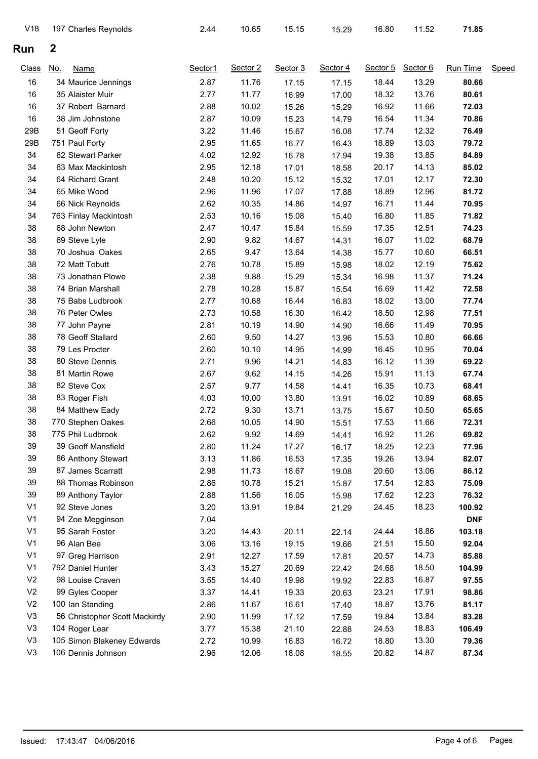| V18            | 197 Charles Reynolds          | 2.44    | 10.65    | 15.15    | 15.29    | 16.80    | 11.52    | 71.85      |              |
|----------------|-------------------------------|---------|----------|----------|----------|----------|----------|------------|--------------|
| Run            | $\boldsymbol{2}$              |         |          |          |          |          |          |            |              |
| <b>Class</b>   | No.<br><b>Name</b>            | Sector1 | Sector 2 | Sector 3 | Sector 4 | Sector 5 | Sector 6 | Run Time   | <b>Speed</b> |
| 16             | 34 Maurice Jennings           | 2.87    | 11.76    | 17.15    | 17.15    | 18.44    | 13.29    | 80.66      |              |
| 16             | 35 Alaister Muir              | 2.77    | 11.77    | 16.99    | 17.00    | 18.32    | 13.76    | 80.61      |              |
| 16             | 37 Robert Barnard             | 2.88    | 10.02    | 15.26    | 15.29    | 16.92    | 11.66    | 72.03      |              |
| 16             | 38 Jim Johnstone              | 2.87    | 10.09    | 15.23    | 14.79    | 16.54    | 11.34    | 70.86      |              |
| 29B            | 51 Geoff Forty                | 3.22    | 11.46    | 15.67    | 16.08    | 17.74    | 12.32    | 76.49      |              |
| 29B            | 751 Paul Forty                | 2.95    | 11.65    | 16.77    | 16.43    | 18.89    | 13.03    | 79.72      |              |
| 34             | 62 Stewart Parker             | 4.02    | 12.92    | 16.78    | 17.94    | 19.38    | 13.85    | 84.89      |              |
| 34             | 63 Max Mackintosh             | 2.95    | 12.18    | 17.01    | 18.58    | 20.17    | 14.13    | 85.02      |              |
| 34             | 64 Richard Grant              | 2.48    | 10.20    | 15.12    | 15.32    | 17.01    | 12.17    | 72.30      |              |
| 34             | 65 Mike Wood                  | 2.96    | 11.96    | 17.07    | 17.88    | 18.89    | 12.96    | 81.72      |              |
| 34             | 66 Nick Reynolds              | 2.62    | 10.35    | 14.86    | 14.97    | 16.71    | 11.44    | 70.95      |              |
| 34             | 763 Finlay Mackintosh         | 2.53    | 10.16    | 15.08    | 15.40    | 16.80    | 11.85    | 71.82      |              |
| 38             | 68 John Newton                | 2.47    | 10.47    | 15.84    | 15.59    | 17.35    | 12.51    | 74.23      |              |
| 38             | 69 Steve Lyle                 | 2.90    | 9.82     | 14.67    | 14.31    | 16.07    | 11.02    | 68.79      |              |
| 38             | 70 Joshua Oakes               | 2.65    | 9.47     | 13.64    | 14.38    | 15.77    | 10.60    | 66.51      |              |
| 38             | 72 Matt Tobutt                | 2.76    | 10.78    | 15.89    | 15.98    | 18.02    | 12.19    | 75.62      |              |
| 38             | 73 Jonathan Plowe             | 2.38    | 9.88     | 15.29    | 15.34    | 16.98    | 11.37    | 71.24      |              |
| 38             | 74 Brian Marshall             | 2.78    | 10.28    | 15.87    | 15.54    | 16.69    | 11.42    | 72.58      |              |
| 38             | 75 Babs Ludbrook              | 2.77    | 10.68    | 16.44    | 16.83    | 18.02    | 13.00    | 77.74      |              |
| 38             | 76 Peter Owles                | 2.73    | 10.58    | 16.30    | 16.42    | 18.50    | 12.98    | 77.51      |              |
| 38             | 77 John Payne                 | 2.81    | 10.19    | 14.90    | 14.90    | 16.66    | 11.49    | 70.95      |              |
| 38             | 78 Geoff Stallard             | 2.60    | 9.50     | 14.27    | 13.96    | 15.53    | 10.80    | 66.66      |              |
| 38             | 79 Les Procter                | 2.60    | 10.10    | 14.95    | 14.99    | 16.45    | 10.95    | 70.04      |              |
| 38             | 80 Steve Dennis               | 2.71    | 9.96     | 14.21    | 14.83    | 16.12    | 11.39    | 69.22      |              |
| 38             | 81 Martin Rowe                | 2.67    | 9.62     | 14.15    | 14.26    | 15.91    | 11.13    | 67.74      |              |
| 38             | 82 Steve Cox                  | 2.57    | 9.77     | 14.58    | 14.41    | 16.35    | 10.73    | 68.41      |              |
| 38             | 83 Roger Fish                 | 4.03    | 10.00    | 13.80    | 13.91    | 16.02    | 10.89    | 68.65      |              |
| 38             | 84 Matthew Eady               | 2.72    | 9.30     | 13.71    | 13.75    | 15.67    | 10.50    | 65.65      |              |
| 38             | 770 Stephen Oakes             | 2.66    | 10.05    | 14.90    | 15.51    | 17.53    | 11.66    | 72.31      |              |
| 38             | 775 Phil Ludbrook             | 2.62    | 9.92     | 14.69    | 14.41    | 16.92    | 11.26    | 69.82      |              |
| 39             | 39 Geoff Mansfield            | 2.80    | 11.24    | 17.27    | 16.17    | 18.25    | 12.23    | 77.96      |              |
| 39             | 86 Anthony Stewart            | 3.13    | 11.86    | 16.53    | 17.35    | 19.26    | 13.94    | 82.07      |              |
| 39             | 87 James Scarratt             | 2.98    | 11.73    | 18.67    | 19.08    | 20.60    | 13.06    | 86.12      |              |
| 39             | 88 Thomas Robinson            | 2.86    | 10.78    | 15.21    | 15.87    | 17.54    | 12.83    | 75.09      |              |
| 39             | 89 Anthony Taylor             | 2.88    | 11.56    | 16.05    | 15.98    | 17.62    | 12.23    | 76.32      |              |
| V <sub>1</sub> | 92 Steve Jones                | 3.20    | 13.91    | 19.84    | 21.29    | 24.45    | 18.23    | 100.92     |              |
| V <sub>1</sub> | 94 Zoe Megginson              | 7.04    |          |          |          |          |          | <b>DNF</b> |              |
| V <sub>1</sub> | 95 Sarah Foster               | 3.20    | 14.43    | 20.11    | 22.14    | 24.44    | 18.86    | 103.18     |              |
| V <sub>1</sub> | 96 Alan Bee                   | 3.06    | 13.16    | 19.15    | 19.66    | 21.51    | 15.50    | 92.04      |              |
| V <sub>1</sub> | 97 Greg Harrison              | 2.91    | 12.27    | 17.59    |          | 20.57    | 14.73    | 85.88      |              |
| V <sub>1</sub> | 792 Daniel Hunter             | 3.43    | 15.27    |          | 17.81    | 24.68    | 18.50    | 104.99     |              |
| V <sub>2</sub> | 98 Louise Craven              |         |          | 20.69    | 22.42    |          |          |            |              |
|                |                               | 3.55    | 14.40    | 19.98    | 19.92    | 22.83    | 16.87    | 97.55      |              |
| V <sub>2</sub> | 99 Gyles Cooper               | 3.37    | 14.41    | 19.33    | 20.63    | 23.21    | 17.91    | 98.86      |              |
| V <sub>2</sub> | 100 Ian Standing              | 2.86    | 11.67    | 16.61    | 17.40    | 18.87    | 13.76    | 81.17      |              |
| V <sub>3</sub> | 56 Christopher Scott Mackirdy | 2.90    | 11.99    | 17.12    | 17.59    | 19.84    | 13.84    | 83.28      |              |
| V <sub>3</sub> | 104 Roger Lear                | 3.77    | 15.38    | 21.10    | 22.88    | 24.53    | 18.83    | 106.49     |              |
| V <sub>3</sub> | 105 Simon Blakeney Edwards    | 2.72    | 10.99    | 16.83    | 16.72    | 18.80    | 13.30    | 79.36      |              |
| V <sub>3</sub> | 106 Dennis Johnson            | 2.96    | 12.06    | 18.08    | 18.55    | 20.82    | 14.87    | 87.34      |              |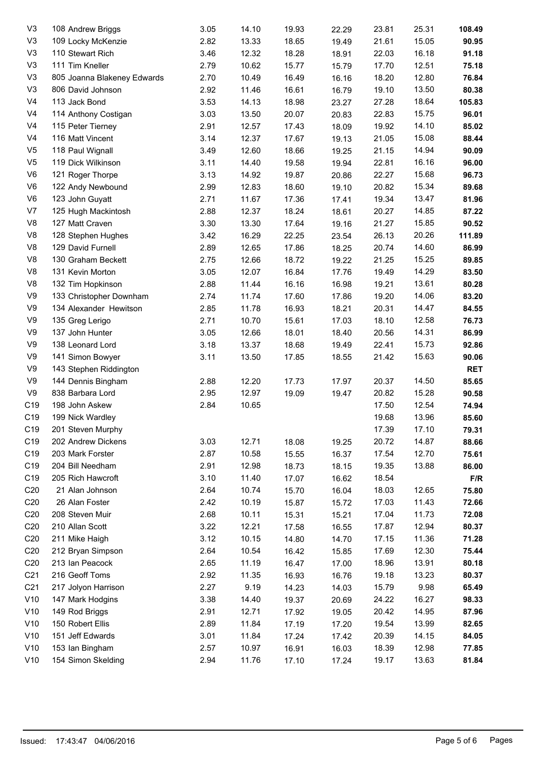| V <sub>3</sub>  |                             | 3.05 | 14.10 | 19.93 |       | 23.81 | 25.31 | 108.49     |
|-----------------|-----------------------------|------|-------|-------|-------|-------|-------|------------|
|                 | 108 Andrew Briggs           |      |       |       | 22.29 |       | 15.05 |            |
| V <sub>3</sub>  | 109 Locky McKenzie          | 2.82 | 13.33 | 18.65 | 19.49 | 21.61 |       | 90.95      |
| V <sub>3</sub>  | 110 Stewart Rich            | 3.46 | 12.32 | 18.28 | 18.91 | 22.03 | 16.18 | 91.18      |
| V <sub>3</sub>  | 111 Tim Kneller             | 2.79 | 10.62 | 15.77 | 15.79 | 17.70 | 12.51 | 75.18      |
| V <sub>3</sub>  | 805 Joanna Blakeney Edwards | 2.70 | 10.49 | 16.49 | 16.16 | 18.20 | 12.80 | 76.84      |
| V <sub>3</sub>  | 806 David Johnson           | 2.92 | 11.46 | 16.61 | 16.79 | 19.10 | 13.50 | 80.38      |
| V <sub>4</sub>  | 113 Jack Bond               | 3.53 | 14.13 | 18.98 | 23.27 | 27.28 | 18.64 | 105.83     |
| V <sub>4</sub>  | 114 Anthony Costigan        | 3.03 | 13.50 | 20.07 | 20.83 | 22.83 | 15.75 | 96.01      |
| V <sub>4</sub>  | 115 Peter Tierney           | 2.91 | 12.57 | 17.43 | 18.09 | 19.92 | 14.10 | 85.02      |
| V <sub>4</sub>  | 116 Matt Vincent            | 3.14 | 12.37 | 17.67 | 19.13 | 21.05 | 15.08 | 88.44      |
| V <sub>5</sub>  | 118 Paul Wignall            | 3.49 | 12.60 | 18.66 | 19.25 | 21.15 | 14.94 | 90.09      |
| V <sub>5</sub>  | 119 Dick Wilkinson          | 3.11 | 14.40 | 19.58 | 19.94 | 22.81 | 16.16 | 96.00      |
| V <sub>6</sub>  | 121 Roger Thorpe            | 3.13 | 14.92 | 19.87 | 20.86 | 22.27 | 15.68 | 96.73      |
| V <sub>6</sub>  | 122 Andy Newbound           | 2.99 | 12.83 | 18.60 | 19.10 | 20.82 | 15.34 | 89.68      |
| V <sub>6</sub>  | 123 John Guyatt             | 2.71 | 11.67 | 17.36 | 17.41 | 19.34 | 13.47 | 81.96      |
| V7              | 125 Hugh Mackintosh         | 2.88 | 12.37 | 18.24 | 18.61 | 20.27 | 14.85 | 87.22      |
| V <sub>8</sub>  | 127 Matt Craven             | 3.30 | 13.30 | 17.64 | 19.16 | 21.27 | 15.85 | 90.52      |
| V <sub>8</sub>  | 128 Stephen Hughes          | 3.42 | 16.29 | 22.25 | 23.54 | 26.13 | 20.26 | 111.89     |
| V <sub>8</sub>  | 129 David Furnell           | 2.89 | 12.65 | 17.86 | 18.25 | 20.74 | 14.60 | 86.99      |
| V <sub>8</sub>  | 130 Graham Beckett          | 2.75 | 12.66 | 18.72 | 19.22 | 21.25 | 15.25 | 89.85      |
| V <sub>8</sub>  | 131 Kevin Morton            | 3.05 | 12.07 | 16.84 | 17.76 | 19.49 | 14.29 | 83.50      |
| V <sub>8</sub>  | 132 Tim Hopkinson           | 2.88 | 11.44 | 16.16 | 16.98 | 19.21 | 13.61 | 80.28      |
| V9              | 133 Christopher Downham     | 2.74 | 11.74 | 17.60 | 17.86 | 19.20 | 14.06 | 83.20      |
| V9              | 134 Alexander Hewitson      | 2.85 | 11.78 | 16.93 | 18.21 | 20.31 | 14.47 | 84.55      |
| V <sub>9</sub>  | 135 Greg Lerigo             | 2.71 | 10.70 | 15.61 | 17.03 | 18.10 | 12.58 | 76.73      |
| V9              | 137 John Hunter             | 3.05 | 12.66 | 18.01 |       | 20.56 | 14.31 | 86.99      |
| V <sub>9</sub>  | 138 Leonard Lord            | 3.18 | 13.37 |       | 18.40 |       | 15.73 |            |
|                 |                             |      |       | 18.68 | 19.49 | 22.41 |       | 92.86      |
| V9              | 141 Simon Bowyer            | 3.11 | 13.50 | 17.85 | 18.55 | 21.42 | 15.63 | 90.06      |
| V <sub>9</sub>  | 143 Stephen Riddington      |      |       |       |       |       |       | <b>RET</b> |
| V9              | 144 Dennis Bingham          | 2.88 | 12.20 | 17.73 | 17.97 | 20.37 | 14.50 | 85.65      |
| V9              | 838 Barbara Lord            | 2.95 | 12.97 | 19.09 | 19.47 | 20.82 | 15.28 | 90.58      |
| C19             | 198 John Askew              | 2.84 | 10.65 |       |       | 17.50 | 12.54 | 74.94      |
| C19             | 199 Nick Wardley            |      |       |       |       | 19.68 | 13.96 | 85.60      |
| C19             | 201 Steven Murphy           |      |       |       |       | 17.39 | 17.10 | 79.31      |
| C19             | 202 Andrew Dickens          | 3.03 | 12.71 | 18.08 | 19.25 | 20.72 | 14.87 | 88.66      |
| C19             | 203 Mark Forster            | 2.87 | 10.58 | 15.55 | 16.37 | 17.54 | 12.70 | 75.61      |
| C19             | 204 Bill Needham            | 2.91 | 12.98 | 18.73 | 18.15 | 19.35 | 13.88 | 86.00      |
| C19             | 205 Rich Hawcroft           | 3.10 | 11.40 | 17.07 | 16.62 | 18.54 |       | F/R        |
| C <sub>20</sub> | 21 Alan Johnson             | 2.64 | 10.74 | 15.70 | 16.04 | 18.03 | 12.65 | 75.80      |
| C <sub>20</sub> | 26 Alan Foster              | 2.42 | 10.19 | 15.87 | 15.72 | 17.03 | 11.43 | 72.66      |
| C <sub>20</sub> | 208 Steven Muir             | 2.68 | 10.11 | 15.31 | 15.21 | 17.04 | 11.73 | 72.08      |
| C <sub>20</sub> | 210 Allan Scott             | 3.22 | 12.21 | 17.58 | 16.55 | 17.87 | 12.94 | 80.37      |
| C <sub>20</sub> | 211 Mike Haigh              | 3.12 | 10.15 | 14.80 | 14.70 | 17.15 | 11.36 | 71.28      |
| C <sub>20</sub> | 212 Bryan Simpson           | 2.64 | 10.54 | 16.42 | 15.85 | 17.69 | 12.30 | 75.44      |
| C <sub>20</sub> | 213 Ian Peacock             | 2.65 | 11.19 | 16.47 | 17.00 | 18.96 | 13.91 | 80.18      |
| C <sub>21</sub> | 216 Geoff Toms              | 2.92 | 11.35 | 16.93 | 16.76 | 19.18 | 13.23 | 80.37      |
| C <sub>21</sub> | 217 Jolyon Harrison         | 2.27 | 9.19  | 14.23 | 14.03 | 15.79 | 9.98  | 65.49      |
| V10             | 147 Mark Hodgins            | 3.38 | 14.40 | 19.37 | 20.69 | 24.22 | 16.27 | 98.33      |
| V10             | 149 Rod Briggs              | 2.91 | 12.71 | 17.92 | 19.05 | 20.42 | 14.95 | 87.96      |
| V10             | 150 Robert Ellis            | 2.89 | 11.84 | 17.19 | 17.20 | 19.54 | 13.99 | 82.65      |
| V10             | 151 Jeff Edwards            | 3.01 | 11.84 | 17.24 | 17.42 | 20.39 | 14.15 | 84.05      |
| V10             | 153 Ian Bingham             | 2.57 | 10.97 | 16.91 | 16.03 | 18.39 | 12.98 | 77.85      |
| V10             | 154 Simon Skelding          | 2.94 | 11.76 | 17.10 | 17.24 | 19.17 | 13.63 | 81.84      |
|                 |                             |      |       |       |       |       |       |            |